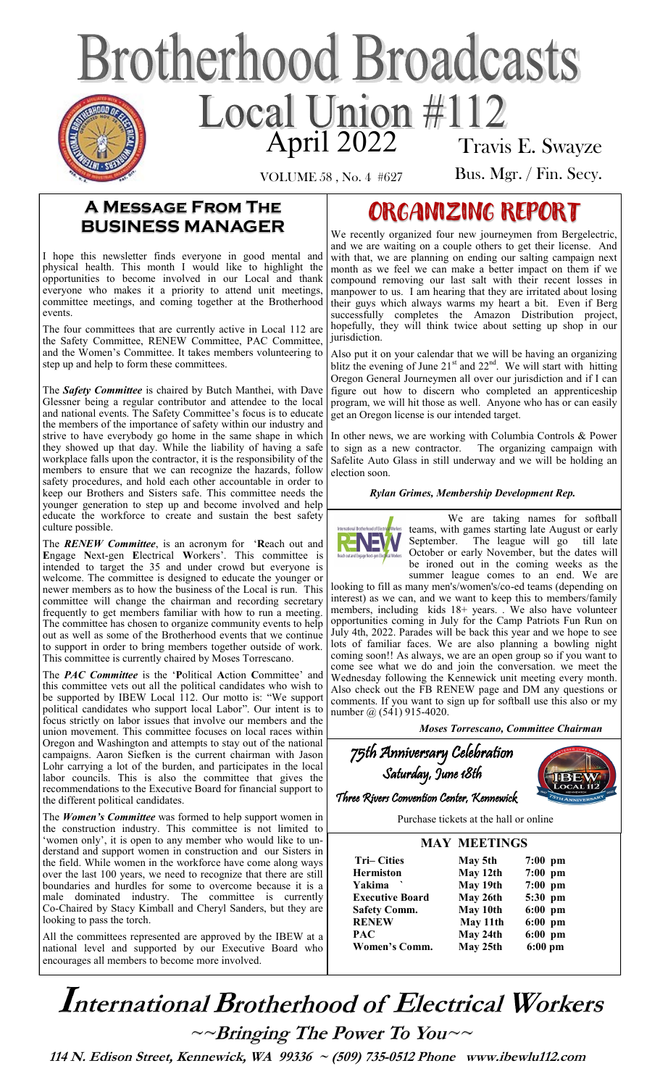# **Brotherhood Broadcasts** Local Union #112 Travis E. Swayze

VOLUME 58 , No. 4 #627

Bus. Mgr. / Fin. Secy.

## **A Message From The BUSINESS MANAGER**

I hope this newsletter finds everyone in good mental and physical health. This month I would like to highlight the opportunities to become involved in our Local and thank everyone who makes it a priority to attend unit meetings, committee meetings, and coming together at the Brotherhood events.

The four committees that are currently active in Local 112 are the Safety Committee, RENEW Committee, PAC Committee, and the Women's Committee. It takes members volunteering to step up and help to form these committees.

The *Safety Committee* is chaired by Butch Manthei, with Dave Glessner being a regular contributor and attendee to the local and national events. The Safety Committee's focus is to educate the members of the importance of safety within our industry and strive to have everybody go home in the same shape in which they showed up that day. While the liability of having a safe workplace falls upon the contractor, it is the responsibility of the members to ensure that we can recognize the hazards, follow safety procedures, and hold each other accountable in order to keep our Brothers and Sisters safe. This committee needs the younger generation to step up and become involved and help educate the workforce to create and sustain the best safety culture possible.

The *RENEW Committee*, is an acronym for '**R**each out and **E**ngage **N**ext-gen **E**lectrical **W**orkers'. This committee is intended to target the 35 and under crowd but everyone is welcome. The committee is designed to educate the younger or newer members as to how the business of the Local is run. This committee will change the chairman and recording secretary frequently to get members familiar with how to run a meeting. The committee has chosen to organize community events to help out as well as some of the Brotherhood events that we continue to support in order to bring members together outside of work. This committee is currently chaired by Moses Torrescano.

The *PAC Committee* is the '**P**olitical **A**ction **C**ommittee' and this committee vets out all the political candidates who wish to be supported by IBEW Local 112. Our motto is: "We support political candidates who support local Labor". Our intent is to focus strictly on labor issues that involve our members and the union movement. This committee focuses on local races within Oregon and Washington and attempts to stay out of the national campaigns. Aaron Siefken is the current chairman with Jason Lohr carrying a lot of the burden, and participates in the local labor councils. This is also the committee that gives the recommendations to the Executive Board for financial support to the different political candidates.

The *Women's Committee* was formed to help support women in the construction industry. This committee is not limited to 'women only', it is open to any member who would like to understand and support women in construction and our Sisters in the field. While women in the workforce have come along ways over the last 100 years, we need to recognize that there are still boundaries and hurdles for some to overcome because it is a male dominated industry. The committee is currently Co-Chaired by Stacy Kimball and Cheryl Sanders, but they are looking to pass the torch.

All the committees represented are approved by the IBEW at a national level and supported by our Executive Board who encourages all members to become more involved.

# ORGANIZING REPORT

We recently organized four new journeymen from Bergelectric, and we are waiting on a couple others to get their license. And with that, we are planning on ending our salting campaign next month as we feel we can make a better impact on them if we compound removing our last salt with their recent losses in manpower to us. I am hearing that they are irritated about losing their guys which always warms my heart a bit. Even if Berg successfully completes the Amazon Distribution project, hopefully, they will think twice about setting up shop in our jurisdiction.

Also put it on your calendar that we will be having an organizing blitz the evening of June  $21<sup>st</sup>$  and  $22<sup>nd</sup>$ . We will start with hitting Oregon General Journeymen all over our jurisdiction and if I can figure out how to discern who completed an apprenticeship program, we will hit those as well. Anyone who has or can easily get an Oregon license is our intended target.

In other news, we are working with Columbia Controls & Power to sign as a new contractor. The organizing campaign with Safelite Auto Glass in still underway and we will be holding an election soon.

*Rylan Grimes, Membership Development Rep.* 



We are taking names for softball teams, with games starting late August or early<br>September. The league will go till late September. The league will go October or early November, but the dates will be ironed out in the coming weeks as the summer league comes to an end. We are

looking to fill as many men's/women's/co-ed teams (depending on interest) as we can, and we want to keep this to members/family members, including kids 18+ years. . We also have volunteer opportunities coming in July for the Camp Patriots Fun Run on July 4th, 2022. Parades will be back this year and we hope to see lots of familiar faces. We are also planning a bowling night coming soon!! As always, we are an open group so if you want to come see what we do and join the conversation. we meet the Wednesday following the Kennewick unit meeting every month. Also check out the FB RENEW page and DM any questions or comments. If you want to sign up for softball use this also or my number @ (541) 915-4020.

 *Moses Torrescano, Committee Chairman* 

| 75th Anniversary Celebration              |  |
|-------------------------------------------|--|
| Saturday, June 18th                       |  |
| Three Rivers Convention Center, Kennewick |  |
| Purchase tickets at the hall or online    |  |

|                        | <b>MAY MEETINGS</b> |           |
|------------------------|---------------------|-----------|
| <b>Tri–Cities</b>      | May 5th             | $7:00$ pm |
| <b>Hermiston</b>       | May 12th            | $7:00$ pm |
| Yakima                 | May 19th            | $7:00$ pm |
| <b>Executive Board</b> | May 26th            | 5:30 pm   |
| <b>Safety Comm.</b>    | May 10th            | $6:00$ pm |
| <b>RENEW</b>           | May 11th            | $6:00$ pm |
| <b>PAC</b>             | May 24th            | $6:00$ pm |
| Women's Comm.          | May 25th            | $6:00$ pm |

**International Brotherhood of Electrical Workers**  $\sim$ -Bringing The Power To You

 **114 N. Edison Street, Kennewick, WA 99336 ~ (509) 735-0512 Phone www.ibewlu112.com**